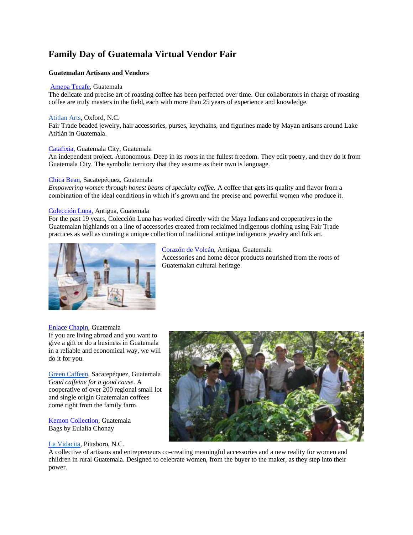# **Family Day of Guatemala Virtual Vendor Fair**

## **Guatemalan Artisans and Vendors**

#### [Amepa Tecafe,](https://amepatecafe.com.gt/wp/) Guatemala

The delicate and precise art of roasting coffee has been perfected over time. Our collaborators in charge of roasting coffee are truly masters in the field, each with more than 25 years of experience and knowledge.

#### [Atitlan Arts,](https://atitlanarts.com/) Oxford, N.C.

Fair Trade beaded jewelry, hair accessories, purses, keychains, and figurines made by Mayan artisans around Lake Atitlán in Guatemala.

## [Catafixia,](http://catafixiaeditorialgt.com/) Guatemala City, Guatemala

An independent project. Autonomous. Deep in its roots in the fullest freedom. They edit poetry, and they do it from Guatemala City. The symbolic territory that they assume as their own is language.

#### [Chica Bean,](http://www.chicabean.com/) Sacatepéquez, Guatemala

*Empowering women through honest beans of specialty coffee.* A coffee that gets its quality and flavor from a combination of the ideal conditions in which it's grown and the precise and powerful women who produce it.

#### [Colección Luna,](http://www.coleccionluna.com/cms/) Antigua, Guatemala

For the past 19 years, Colección Luna has worked directly with the Maya Indians and cooperatives in the Guatemalan highlands on a line of accessories created from reclaimed indigenous clothing using Fair Trade practices as well as curating a unique collection of traditional antique indigenous jewelry and folk art.



[Corazón de Volcán,](http://www.corazondevolcan.com/) Antigua, Guatemala Accessories and home décor products nourished from the roots of Guatemalan cultural heritage.

#### [Enlace Chapín,](https://www.facebook.com/enlacechapingt/) Guatemala

If you are living abroad and you want to give a gift or do a business in Guatemala in a reliable and economical way, we will do it for you.

[Green Caffeen,](https://greencaffeen.com/) Sacatepéquez, Guatemala *Good caffeine for a good cause.* A cooperative of over 200 regional small lot and single origin Guatemalan coffees come right from the family farm.

[Kemon Collection,](https://www.instagram.com/kemon_collection/) Guatemala Bags by Eulalia Chonay

#### [La Vidacita,](https://lavidacita.com/) Pittsboro, N.C.



A collective of artisans and entrepreneurs co-creating meaningful accessories and a new reality for women and children in rural Guatemala. Designed to celebrate women, from the buyer to the maker, as they step into their power.